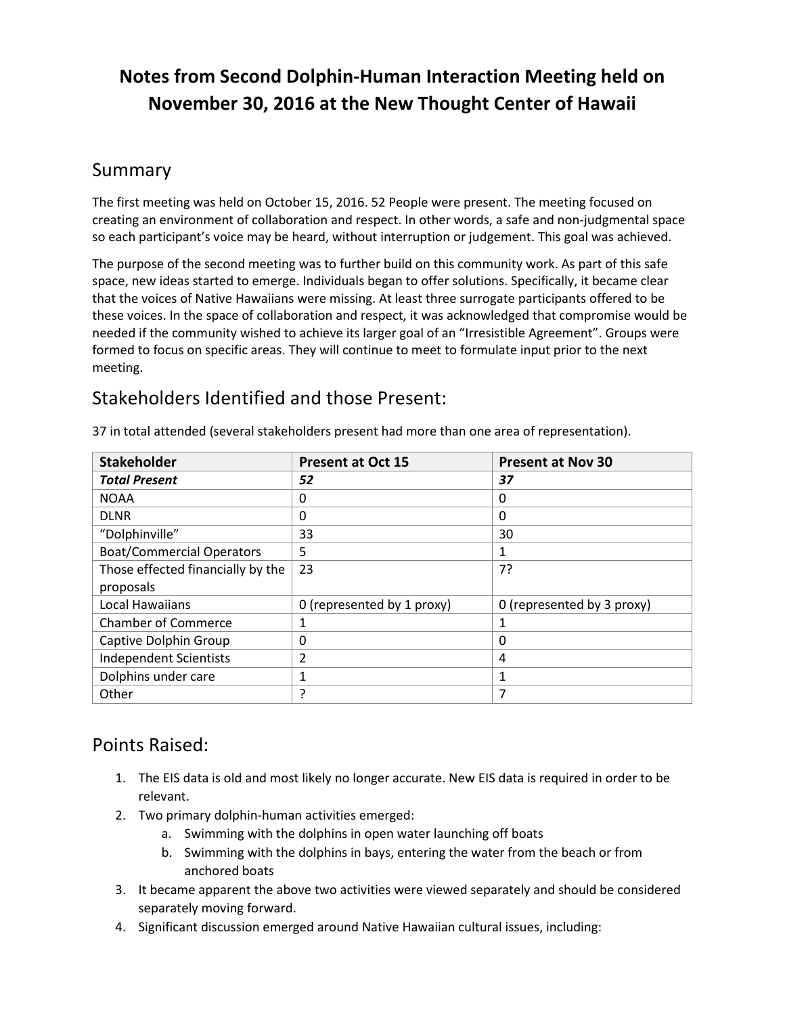# **Notes from Second Dolphin-Human Interaction Meeting held on November 30, 2016 at the New Thought Center of Hawaii**

#### Summary

The first meeting was held on October 15, 2016. 52 People were present. The meeting focused on creating an environment of collaboration and respect. In other words, a safe and non-judgmental space so each participant's voice may be heard, without interruption or judgement. This goal was achieved.

The purpose of the second meeting was to further build on this community work. As part of this safe space, new ideas started to emerge. Individuals began to offer solutions. Specifically, it became clear that the voices of Native Hawaiians were missing. At least three surrogate participants offered to be these voices. In the space of collaboration and respect, it was acknowledged that compromise would be needed if the community wished to achieve its larger goal of an "Irresistible Agreement". Groups were formed to focus on specific areas. They will continue to meet to formulate input prior to the next meeting.

## Stakeholders Identified and those Present:

| <b>Stakeholder</b>                | <b>Present at Oct 15</b>   | <b>Present at Nov 30</b>   |
|-----------------------------------|----------------------------|----------------------------|
| <b>Total Present</b>              | 52                         | 37                         |
| <b>NOAA</b>                       | 0                          | 0                          |
| <b>DLNR</b>                       | 0                          | 0                          |
| "Dolphinville"                    | 33                         | 30                         |
| <b>Boat/Commercial Operators</b>  | 5                          |                            |
| Those effected financially by the | 23                         | 7?                         |
| proposals                         |                            |                            |
| <b>Local Hawaiians</b>            | 0 (represented by 1 proxy) | 0 (represented by 3 proxy) |
| <b>Chamber of Commerce</b>        | 1                          |                            |
| Captive Dolphin Group             | 0                          | 0                          |
| <b>Independent Scientists</b>     | 2                          | 4                          |
| Dolphins under care               | 1                          | 1                          |
| Other                             | 7                          | 7                          |

37 in total attended (several stakeholders present had more than one area of representation).

### Points Raised:

- 1. The EIS data is old and most likely no longer accurate. New EIS data is required in order to be relevant.
- 2. Two primary dolphin-human activities emerged:
	- a. Swimming with the dolphins in open water launching off boats
	- b. Swimming with the dolphins in bays, entering the water from the beach or from anchored boats
- 3. It became apparent the above two activities were viewed separately and should be considered separately moving forward.
- 4. Significant discussion emerged around Native Hawaiian cultural issues, including: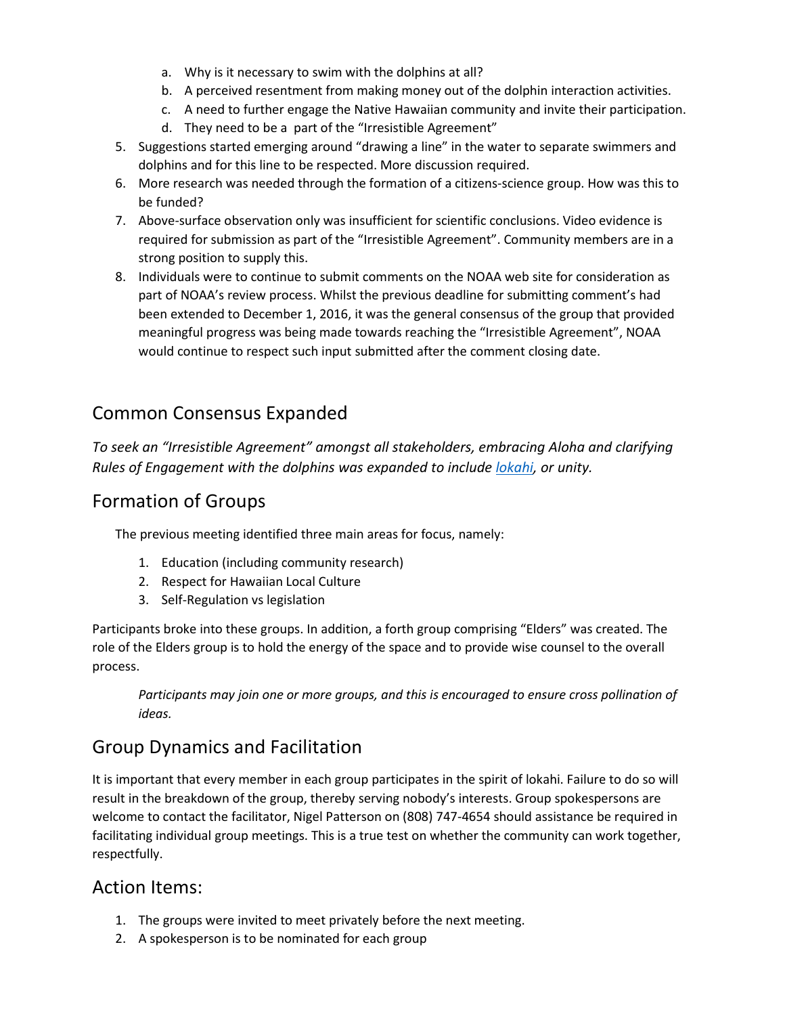- a. Why is it necessary to swim with the dolphins at all?
- b. A perceived resentment from making money out of the dolphin interaction activities.
- c. A need to further engage the Native Hawaiian community and invite their participation.
- d. They need to be a part of the "Irresistible Agreement"
- 5. Suggestions started emerging around "drawing a line" in the water to separate swimmers and dolphins and for this line to be respected. More discussion required.
- 6. More research was needed through the formation of a citizens-science group. How was this to be funded?
- 7. Above-surface observation only was insufficient for scientific conclusions. Video evidence is required for submission as part of the "Irresistible Agreement". Community members are in a strong position to supply this.
- 8. Individuals were to continue to submit comments on the NOAA web site for consideration as part of NOAA's review process. Whilst the previous deadline for submitting comment's had been extended to December 1, 2016, it was the general consensus of the group that provided meaningful progress was being made towards reaching the "Irresistible Agreement", NOAA would continue to respect such input submitted after the comment closing date.

# Common Consensus Expanded

*To seek an "Irresistible Agreement" amongst all stakeholders, embracing Aloha and clarifying Rules of Engagement with the dolphins was expanded to include lokahi, or unity.*

### Formation of Groups

The previous meeting identified three main areas for focus, namely:

- 1. Education (including community research)
- 2. Respect for Hawaiian Local Culture
- 3. Self-Regulation vs legislation

Participants broke into these groups. In addition, a forth group comprising "Elders" was created. The role of the Elders group is to hold the energy of the space and to provide wise counsel to the overall process.

*Participants may join one or more groups, and this is encouraged to ensure cross pollination of ideas.*

# Group Dynamics and Facilitation

It is important that every member in each group participates in the spirit of lokahi. Failure to do so will result in the breakdown of the group, thereby serving nobody's interests. Group spokespersons are welcome to contact the facilitator, Nigel Patterson on (808) 747-4654 should assistance be required in facilitating individual group meetings. This is a true test on whether the community can work together, respectfully.

#### Action Items:

- 1. The groups were invited to meet privately before the next meeting.
- 2. A spokesperson is to be nominated for each group